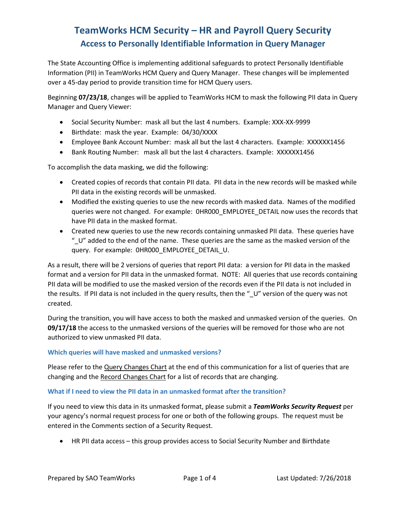The State Accounting Office is implementing additional safeguards to protect Personally Identifiable Information (PII) in TeamWorks HCM Query and Query Manager. These changes will be implemented over a 45-day period to provide transition time for HCM Query users.

Beginning **07/23/18**, changes will be applied to TeamWorks HCM to mask the following PII data in Query Manager and Query Viewer:

- Social Security Number: mask all but the last 4 numbers. Example: XXX-XX-9999
- Birthdate: mask the year. Example: 04/30/XXXX
- Employee Bank Account Number: mask all but the last 4 characters. Example: XXXXXX1456
- Bank Routing Number: mask all but the last 4 characters. Example: XXXXXX1456

To accomplish the data masking, we did the following:

- Created copies of records that contain PII data. PII data in the new records will be masked while PII data in the existing records will be unmasked.
- Modified the existing queries to use the new records with masked data. Names of the modified queries were not changed. For example: 0HR000\_EMPLOYEE\_DETAIL now uses the records that have PII data in the masked format.
- Created new queries to use the new records containing unmasked PII data. These queries have "\_U" added to the end of the name. These queries are the same as the masked version of the query. For example: 0HR000\_EMPLOYEE\_DETAIL\_U.

As a result, there will be 2 versions of queries that report PII data: a version for PII data in the masked format and a version for PII data in the unmasked format. NOTE: All queries that use records containing PII data will be modified to use the masked version of the records even if the PII data is not included in the results. If PII data is not included in the query results, then the "\_U" version of the query was not created.

During the transition, you will have access to both the masked and unmasked version of the queries. On **09/17/18** the access to the unmasked versions of the queries will be removed for those who are not authorized to view unmasked PII data.

### **Which queries will have masked and unmasked versions?**

Please refer to the Query Changes Chart at the end of this communication for a list of queries that are changing and the Record Changes Chart for a list of records that are changing.

### **What if I need to view the PII data in an unmasked format after the transition?**

If you need to view this data in its unmasked format, please submit a *TeamWorks Security Request* per your agency's normal request process for one or both of the following groups. The request must be entered in the Comments section of a Security Request.

• HR PII data access – this group provides access to Social Security Number and Birthdate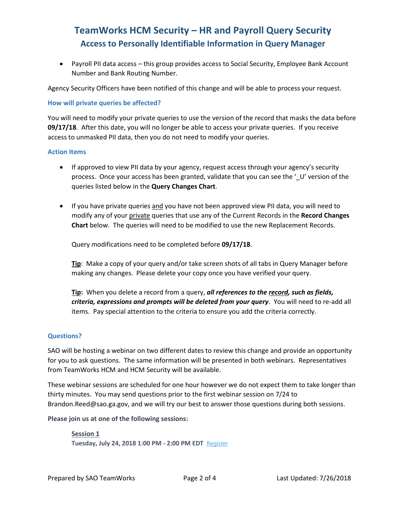• Payroll PII data access – this group provides access to Social Security, Employee Bank Account Number and Bank Routing Number.

Agency Security Officers have been notified of this change and will be able to process your request.

#### **How will private queries be affected?**

You will need to modify your private queries to use the version of the record that masks the data before **09/17/18**. After this date, you will no longer be able to access your private queries. If you receive access to unmasked PII data, then you do not need to modify your queries.

#### **Action Items**

- If approved to view PII data by your agency, request access through your agency's security process. Once your access has been granted, validate that you can see the '\_U' version of the queries listed below in the **Query Changes Chart**.
- If you have private queries and you have not been approved view PII data, you will need to modify any of your private queries that use any of the Current Records in the **Record Changes Chart** below. The queries will need to be modified to use the new Replacement Records.

Query modifications need to be completed before **09/17/18**.

**Tip**: Make a copy of your query and/or take screen shots of all tabs in Query Manager before making any changes. Please delete your copy once you have verified your query.

**Tip:** When you delete a record from a query, *all references to the record, such as fields, criteria, expressions and prompts will be deleted from your query*. You will need to re-add all items. Pay special attention to the criteria to ensure you add the criteria correctly.

#### **Questions?**

SAO will be hosting a webinar on two different dates to review this change and provide an opportunity for you to ask questions. The same information will be presented in both webinars. Representatives from TeamWorks HCM and HCM Security will be available.

These webinar sessions are scheduled for one hour however we do not expect them to take longer than thirty minutes. You may send questions prior to the first webinar session on 7/24 to Brandon.Reed@sao.ga.gov, and we will try our best to answer those questions during both sessions.

**Please join us at one of the following sessions:**

**Session 1 Tuesday, July 24, 2018 1:00 PM - 2:00 PM EDT** [Register](https://na01.safelinks.protection.outlook.com/?url=https%3A%2F%2Fattendee.gotowebinar.com%2Fregister%2F7111335936442727169&data=02%7C01%7Cbrandon.reed%40sao.ga.gov%7Cc9efdffc9cf14022a75d08d5ee6bd1e9%7C512da10d071b4b948abc9ec4044d1516%7C0%7C0%7C636677069204134485&sdata=och1FJvU0eow0gY2U%2BSdwqWcUbNH20RywApa0EVAwCM%3D&reserved=0)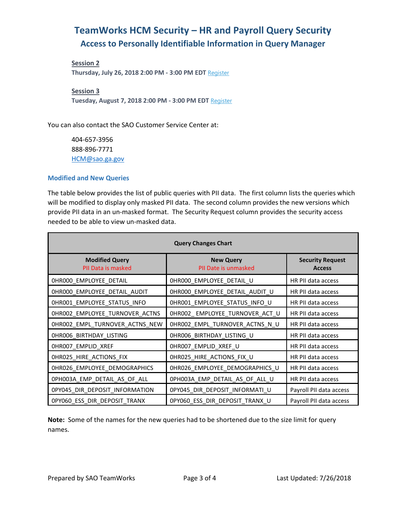**Session 2 Thursday, July 26, 2018 2:00 PM - 3:00 PM EDT** [Register](https://na01.safelinks.protection.outlook.com/?url=https%3A%2F%2Fattendee.gotowebinar.com%2Fregister%2F8122276405043374337&data=02%7C01%7Cbrandon.reed%40sao.ga.gov%7Cd7a5e9585b744b95262608d5ee6cefbf%7C512da10d071b4b948abc9ec4044d1516%7C0%7C0%7C636677073997776533&sdata=21w2354rzjFVYkycGiWfAQX0ec0XQ%2Fh8QQ%2FGC24bqW4%3D&reserved=0)

**Session 3**

**Tuesday, August 7, 2018 2:00 PM - 3:00 PM EDT** [Register](https://na01.safelinks.protection.outlook.com/?url=https%3A%2F%2Fattendee.gotowebinar.com%2Fregister%2F6730674015790640897&data=02%7C01%7Cbrandon.reed%40sao.ga.gov%7C143a11a9f2614dd7f4fe08d5ee6d4ddf%7C512da10d071b4b948abc9ec4044d1516%7C0%7C0%7C636677075577034633&sdata=5TrsAg5dxbS0K%2F9BC0rOoHJXWCyRuev0GBgD7x%2BK%2FQI%3D&reserved=0)

You can also contact the SAO Customer Service Center at:

404-657-3956 888-896-7771 [HCM@sao.ga.gov](mailto:HCM@sao.ga.gov)

#### **Modified and New Queries**

The table below provides the list of public queries with PII data. The first column lists the queries which will be modified to display only masked PII data. The second column provides the new versions which provide PII data in an un-masked format. The Security Request column provides the security access needed to be able to view un-masked data.

| <b>Query Changes Chart</b>                  |                                          |                                          |  |  |
|---------------------------------------------|------------------------------------------|------------------------------------------|--|--|
| <b>Modified Query</b><br>PII Data is masked | <b>New Query</b><br>PII Date is unmasked | <b>Security Request</b><br><b>Access</b> |  |  |
| 0HR000_EMPLOYEE_DETAIL                      | 0HR000_EMPLOYEE_DETAIL_U                 | HR PII data access                       |  |  |
| 0HR000_EMPLOYEE_DETAIL_AUDIT                | 0HR000_EMPLOYEE_DETAIL_AUDIT_U           | HR PII data access                       |  |  |
| 0HR001_EMPLOYEE_STATUS_INFO                 | 0HR001_EMPLOYEE_STATUS_INFO_U            | HR PII data access                       |  |  |
| 0HR002_EMPLOYEE_TURNOVER_ACTNS              | 0HR002_EMPLOYEE_TURNOVER_ACT_U           | HR PII data access                       |  |  |
| 0HR002_EMPL_TURNOVER_ACTNS_NEW              | 0HR002_EMPL_TURNOVER_ACTNS_N_U           | HR PII data access                       |  |  |
| OHROO6_BIRTHDAY_LISTING                     | 0HR006_BIRTHDAY_LISTING_U                | HR PII data access                       |  |  |
| OHROO7_EMPLID_XREF                          | 0HR007_EMPLID_XREF_U                     | HR PII data access                       |  |  |
| OHR025_HIRE_ACTIONS_FIX                     | 0HR025_HIRE_ACTIONS_FIX_U                | HR PII data access                       |  |  |
| 0HR026_EMPLOYEE_DEMOGRAPHICS                | 0HR026_EMPLOYEE_DEMOGRAPHICS_U           | HR PII data access                       |  |  |
| 0PH003A_EMP_DETAIL_AS_OF_ALL                | 0PH003A_EMP_DETAIL_AS_OF_ALL_U           | HR PII data access                       |  |  |
| 0PY045_DIR_DEPOSIT_INFORMATION              | 0PY045_DIR_DEPOSIT_INFORMATI_U           | Payroll PII data access                  |  |  |
| OPYO60 ESS DIR DEPOSIT TRANX                | OPY060 ESS DIR DEPOSIT TRANX U           | Payroll PII data access                  |  |  |

**Note:** Some of the names for the new queries had to be shortened due to the size limit for query names.